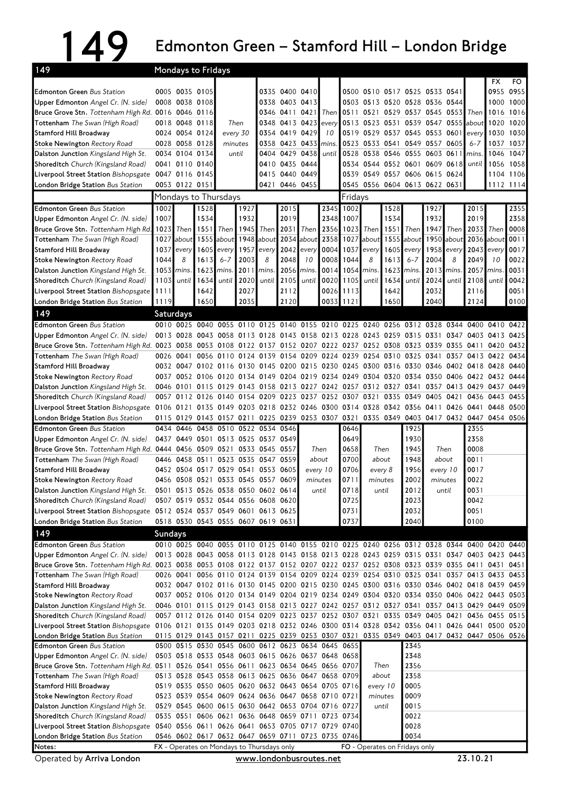## 149 Edmonton Green – Stamford Hill – London Bridge

| 149                                                                                                                                                             |                |                                  | Mondays to Fridays                                                                                               |                |      |                                            |                                  |            |                                    |           |                                                                            |       |              |                      |       |                     |                                         |                        |
|-----------------------------------------------------------------------------------------------------------------------------------------------------------------|----------------|----------------------------------|------------------------------------------------------------------------------------------------------------------|----------------|------|--------------------------------------------|----------------------------------|------------|------------------------------------|-----------|----------------------------------------------------------------------------|-------|--------------|----------------------|-------|---------------------|-----------------------------------------|------------------------|
|                                                                                                                                                                 |                |                                  |                                                                                                                  |                |      |                                            |                                  |            |                                    |           |                                                                            |       |              |                      |       |                     | FX                                      | FO.                    |
| <b>Edmonton Green Bus Station</b>                                                                                                                               |                | 0005 0035 0105<br>0008 0038 0108 |                                                                                                                  |                |      |                                            | 0335 0400 0410<br>0338 0403 0413 |            |                                    |           | 0500 0510 0517 0525 0533 0541                                              |       |              |                      |       |                     |                                         | 0955 0955<br>1000 1000 |
| Upper Edmonton Angel Cr. (N. side)                                                                                                                              |                | 0016 0046 0116                   |                                                                                                                  |                |      |                                            | 0346 0411 0421                   |            | Then I                             | 0511      | 0503 0513 0520 0528 0536 0544<br>0521                                      | 0529  |              | 0537 0545 0553       |       | <b>Then</b>         | 1016                                    | 1016                   |
| Bruce Grove Stn. Tottenham High Rd.<br>Tottenham The Swan (High Road)                                                                                           |                | 0018 0048 0118                   |                                                                                                                  | Then           |      |                                            | 0348 0413 0423                   |            | every                              |           | 0513 0523 0531                                                             |       |              | 0539 0547 0555 about |       |                     | 1020                                    | 1020                   |
| <b>Stamford Hill Broadway</b>                                                                                                                                   |                | 0024 0054 0124                   |                                                                                                                  | every 30       |      |                                            | 0354 0419 0429                   |            | 10                                 |           | 0519 0529 0537 0545 0553 0601                                              |       |              |                      |       | every               |                                         | 1030 1030              |
| <b>Stoke Newington Rectory Road</b>                                                                                                                             |                | 0028 0058 0128                   |                                                                                                                  | minutes        |      |                                            | 0358 0423 0433                   |            | mins.                              |           | 0523 0533 0541                                                             |       |              | 0549 0557 0605       |       | $6 - 7$             | 1037                                    | 1037                   |
| Dalston Junction Kingsland High St.                                                                                                                             |                | 0034 0104 0134                   |                                                                                                                  | until          |      |                                            | 0404 0429 0438                   |            | until                              |           | 0528 0538 0546 0555 0603 0611                                              |       |              |                      |       | mins                | 1046                                    | 1047                   |
| Shoreditch Church (Kingsland Road)                                                                                                                              |                | 0041 0110 0140                   |                                                                                                                  |                |      |                                            | 0410 0435 0444                   |            |                                    |           | 0534 0544 0552 0601 0609 0618                                              |       |              |                      |       | until               |                                         | 1056 1058              |
| Liverpool Street Station Bishopsgate                                                                                                                            |                | 0047 0116 0145                   |                                                                                                                  |                |      |                                            | 0415 0440 0449                   |            |                                    |           | 0539 0549 0557 0606 0615 0624                                              |       |              |                      |       |                     |                                         | 1104 1106              |
| London Bridge Station Bus Station                                                                                                                               |                | 0053 0122 0151                   |                                                                                                                  |                |      |                                            | 0421 0446 0455                   |            |                                    |           | 0545 0556 0604 0613 0622 0631                                              |       |              |                      |       |                     |                                         | 1112 1114              |
|                                                                                                                                                                 |                |                                  | Mondays to Thursdays                                                                                             |                |      |                                            |                                  |            |                                    | Fridays   |                                                                            |       |              |                      |       |                     |                                         |                        |
| <b>Edmonton Green Bus Station</b>                                                                                                                               | 1002           |                                  | 1528                                                                                                             |                | 1927 |                                            | 2015                             |            | 2345                               | 1002      |                                                                            | 1528  |              | 1927                 |       | 2015                |                                         | 2355                   |
| <b>Upper Edmonton</b> Angel Cr. (N. side)                                                                                                                       | 1007           |                                  | 1534                                                                                                             |                | 1932 |                                            | 2019                             |            | 2348                               | 1007      |                                                                            | 1534  |              | 1932                 |       | 2019                |                                         | 2358                   |
| Bruce Grove Stn. Tottenham High Rd.                                                                                                                             | 1023           | <b>Then</b>                      | 1551                                                                                                             | Then           | 1945 | <b>Then</b>                                | 2031                             | Then       | 2356                               | 1023      | Then                                                                       | 15511 | Then I       | 1947                 | Then  | 2033                | Then                                    | 0008                   |
| <b>Tottenham</b> The Swan (High Road)                                                                                                                           |                | $1027$ about                     | 1555                                                                                                             | about          |      | 1948 about                                 |                                  | 2034 about | 2358                               | 1027      | about                                                                      |       | $1555$ about | 1950                 |       | about 2036 about    |                                         | 0011                   |
| <b>Stamford Hill Broadway</b>                                                                                                                                   | 1037           | every                            | 1605                                                                                                             | every          |      | 1957 every                                 | 2042 every                       |            | 0004                               | 1037      | every                                                                      | 1605  | every        | 1958                 |       | $every$ 2043        | every                                   | 0017                   |
| <b>Stoke Newington</b> Rectory Road                                                                                                                             | 1044           | 8                                | 1613                                                                                                             | 6-7            | 2003 | 8                                          | 2048                             | 10         | 0008                               | 1044      | 8                                                                          | 1613  | $6 - 7$      | 2004                 | 8     | 2049                | 10                                      | 0022                   |
| Dalston Junction Kingsland High St.                                                                                                                             | 1053           | mins.                            | 1623                                                                                                             | mins.          | 2011 | mins                                       | 2056                             | mins.      | 0014                               | 1054      | mins                                                                       | 1623  | mins         | 2013                 | mins  | 2057                | mins                                    | 0031                   |
| Shoreditch Church (Kingsland Road)                                                                                                                              | 1103           | until                            | 1634                                                                                                             | until          | 2020 | until                                      | 2105                             | until      | 0020                               | 1105      | until                                                                      | 1634  | until        | 2024                 | until | 2108                | until                                   | 0042                   |
| Liverpool Street Station Bishopsgate                                                                                                                            | 1111           |                                  | 1642                                                                                                             |                | 2027 |                                            | 2112                             |            |                                    | 0026 1113 |                                                                            | 1642  |              | 2032                 |       | 2116                |                                         | 0051                   |
| London Bridge Station Bus Station                                                                                                                               | 1119           |                                  | 1650                                                                                                             |                | 2035 |                                            | 2120                             |            | 0033                               | 1121      |                                                                            | 1650  |              | 2040                 |       | 2124                |                                         | 0100                   |
| 149                                                                                                                                                             | Saturdays      |                                  |                                                                                                                  |                |      |                                            |                                  |            |                                    |           |                                                                            |       |              |                      |       |                     |                                         |                        |
| <b>Edmonton Green Bus Station</b>                                                                                                                               |                |                                  | 0010 0025 0040                                                                                                   |                |      |                                            |                                  |            |                                    |           | 0055 0110 0125 0140 0155 0210 0225 0240 0256 0312 0328 0344                |       |              |                      |       | 0400                | 0410                                    | 0422                   |
| Upper Edmonton Angel Cr. (N. side)                                                                                                                              |                | 0013 0028                        |                                                                                                                  |                |      |                                            |                                  |            |                                    |           | 0043 0058 0113 0128 0143 0158 0213 0228 0243 0259 0315 0331 0347 0403 0413 |       |              |                      |       |                     |                                         | 0425                   |
| Bruce Grove Stn. Tottenham High Rd. 0023 0038                                                                                                                   |                |                                  |                                                                                                                  |                |      |                                            |                                  |            |                                    |           | 0053 0108 0122 0137 0152 0207 0222 0237 0252 0308 0323 0339 0355           |       |              |                      |       | 0411                | 0420                                    | 0432                   |
| <b>Tottenham</b> The Swan (High Road)                                                                                                                           |                | 0026 0041                        |                                                                                                                  | 0056 0110 0124 |      |                                            |                                  |            |                                    |           | 0139 0154 0209 0224 0239 0254 0310                                         |       | 0325 0341    |                      |       | 0357 0413 0422      |                                         | 0434                   |
| <b>Stamford Hill Broadway</b><br><b>Stoke Newington Rectory Road</b>                                                                                            |                |                                  | 0032 0047 0102 0116 0130 0145 0200 0215 0230 0245 0300 0316 0330 0346 0402 0418 0428<br>0037 0052 0106 0120 0134 |                |      |                                            |                                  |            |                                    |           | 0149 0204 0219 0234 0249 0304 0320                                         |       |              | 0334 0350 0406       |       | 0422 0432           |                                         | 0440<br>0444           |
| Dalston Junction Kingsland High St.                                                                                                                             |                |                                  | 0046 0101 0115 0129 0143 0158 0213 0227 0242 0257 0312 0327                                                      |                |      |                                            |                                  |            |                                    |           |                                                                            |       | 0341         |                      |       | 0357 0413 0429 0437 |                                         | 0449                   |
| Shoreditch Church (Kingsland Road)                                                                                                                              |                | 0057 0112 0126                   |                                                                                                                  |                |      |                                            |                                  |            | 0140 0154 0209 0223 0237 0252 0307 |           | 0321                                                                       | 0335  | 0349         | 0405                 | 0421  | 0436 0443           |                                         | 0455                   |
| Liverpool Street Station Bishopsgate 0106 0121                                                                                                                  |                |                                  |                                                                                                                  |                |      |                                            |                                  |            |                                    |           | 0135 0149 0203 0218 0232 0246 0300 0314 0328 0342 0356 0411 0426           |       |              |                      |       | 0441                | 0448                                    | 0500                   |
| London Bridge Station Bus Station                                                                                                                               |                |                                  | 0115 0129 0143 0157 0211 0225 0239 0253 0307 0321                                                                |                |      |                                            |                                  |            |                                    |           |                                                                            |       |              |                      |       |                     | 0335 0349 0403 0417 0432 0447 0454 0506 |                        |
| <b>Edmonton Green Bus Station</b>                                                                                                                               |                | 0434 0446                        |                                                                                                                  |                |      | 0458 0510 0522 0534 0546                   |                                  |            |                                    | 0646      |                                                                            |       | 1925         |                      |       | 2355                |                                         |                        |
| <b>Upper Edmonton</b> Angel Cr. (N. side)                                                                                                                       |                |                                  | 0437 0449 0501 0513 0525                                                                                         |                |      | 0537 0549                                  |                                  |            |                                    | 0649      |                                                                            |       | 1930         |                      |       | 2358                |                                         |                        |
| Bruce Grove Stn. Tottenham High Rd. 0444 0456                                                                                                                   |                |                                  | 0509 0521 0533 0545 0557                                                                                         |                |      |                                            |                                  |            | Then                               | 0658      | Then                                                                       |       | 1945         | Then                 |       | 0008                |                                         |                        |
| Tottenham The Swan (High Road)                                                                                                                                  |                | 0446 0458                        | 0511                                                                                                             | 0523 0535      |      | 0547 0559                                  |                                  |            | about                              | 0700      | about                                                                      |       | 1948         |                      | about | 0011                |                                         |                        |
| Stamford Hill Broadway                                                                                                                                          | 0452           | 0504                             |                                                                                                                  | 0517 0529 0541 |      | 0553 0605                                  |                                  |            | every 10                           | 0706      | every 8                                                                    |       | 1956         | every 10             |       | 0017                |                                         |                        |
| <b>Stoke Newington Rectory Road</b>                                                                                                                             |                |                                  | 0456 0508 0521 0533 0545 0557 0609                                                                               |                |      |                                            |                                  |            | minutes                            | 0711      | minutes                                                                    |       | 2002         | minutes              |       | 0022                |                                         |                        |
| Dalston Junction Kingsland High St.                                                                                                                             |                |                                  | 0501 0513 0526 0538 0550 0602 0614                                                                               |                |      |                                            |                                  |            | until                              | 0718      | until                                                                      |       | 2012         | until                |       | 0031                |                                         |                        |
| Shoreditch Church (Kingsland Road)                                                                                                                              |                |                                  | 0507 0519 0532 0544 0556 0608 0620                                                                               |                |      |                                            |                                  |            |                                    | 0725      |                                                                            |       | 2023         |                      |       | 0042                |                                         |                        |
| Liverpool Street Station Bishopsgate 0512 0524 0537 0549 0601 0613 0625                                                                                         |                |                                  |                                                                                                                  |                |      |                                            |                                  |            |                                    | 0731      |                                                                            |       | 2032         |                      |       | 0051                |                                         |                        |
| London Bridge Station Bus Station                                                                                                                               |                |                                  | 0518 0530 0543 0555 0607 0619 0631                                                                               |                |      |                                            |                                  |            |                                    | 0737      |                                                                            |       | 2040         |                      |       | 0100                |                                         |                        |
| 149                                                                                                                                                             | <b>Sundays</b> |                                  |                                                                                                                  |                |      |                                            |                                  |            |                                    |           |                                                                            |       |              |                      |       |                     |                                         |                        |
| <b>Edmonton Green Bus Station</b>                                                                                                                               |                |                                  | 0010 0025 0040 0055 0110 0125 0140 0155 0210 0225 0240 0256 0312 0328 0344 0400 0420 0440                        |                |      |                                            |                                  |            |                                    |           |                                                                            |       |              |                      |       |                     |                                         |                        |
| Upper Edmonton Angel Cr. (N. side)                                                                                                                              |                |                                  | 0013 0028 0043 0058 0113 0128 0143 0158 0213 0228 0243 0259 0315 0331 0347 0403 0423 0443                        |                |      |                                            |                                  |            |                                    |           |                                                                            |       |              |                      |       |                     |                                         |                        |
| Bruce Grove Stn. Tottenham High Rd. 0023 0038 0053 0108 0122 0137 0152 0207 0222 0237 0252 0308 0323 0339 0355 0411 0431 0451<br>Tottenham The Swan (High Road) |                |                                  | 0026 0041 0056 0110 0124 0139 0154 0209 0224 0239 0254 0310 0325 0341 0357 0413 0433 0453                        |                |      |                                            |                                  |            |                                    |           |                                                                            |       |              |                      |       |                     |                                         |                        |
| Stamford Hill Broadway                                                                                                                                          |                |                                  | 0032 0047 0102 0116 0130 0145 0200 0215 0230 0245 0300 0316 0330 0346 0402 0418 0439 0459                        |                |      |                                            |                                  |            |                                    |           |                                                                            |       |              |                      |       |                     |                                         |                        |
| <b>Stoke Newington Rectory Road</b>                                                                                                                             |                |                                  | 0037 0052 0106 0120 0134 0149 0204 0219 0234 0249 0304 0320 0334 0350 0406 0422 0443 0503                        |                |      |                                            |                                  |            |                                    |           |                                                                            |       |              |                      |       |                     |                                         |                        |
| Dalston Junction Kingsland High St.                                                                                                                             |                |                                  | 0046 0101 0115 0129 0143 0158 0213 0227 0242 0257 0312 0327 0341 0357 0413 0429 0449 0509                        |                |      |                                            |                                  |            |                                    |           |                                                                            |       |              |                      |       |                     |                                         |                        |
| Shoreditch Church (Kingsland Road)                                                                                                                              |                |                                  | 0057 0112 0126 0140 0154 0209 0223 0237 0252 0307 0321 0335 0349 0405 0421 0436 0455 0515                        |                |      |                                            |                                  |            |                                    |           |                                                                            |       |              |                      |       |                     |                                         |                        |
| Liverpool Street Station Bishopsgate                                                                                                                            |                |                                  | 0106 0121 0135 0149 0203 0218 0232 0246 0300 0314 0328 0342 0356 0411 0426 0441 0500 0520                        |                |      |                                            |                                  |            |                                    |           |                                                                            |       |              |                      |       |                     |                                         |                        |
| London Bridge Station Bus Station                                                                                                                               |                |                                  | 0115 0129 0143 0157 0211 0225 0239 0253 0307 0321 0335 0349 0403 0417 0432 0447 0506 0526                        |                |      |                                            |                                  |            |                                    |           |                                                                            |       |              |                      |       |                     |                                         |                        |
| <b>Edmonton Green Bus Station</b>                                                                                                                               |                |                                  | 0500 0515 0530 0545 0600 0612 0623 0634 0645 0655                                                                |                |      |                                            |                                  |            |                                    |           |                                                                            |       | 2345         |                      |       |                     |                                         |                        |
| Upper Edmonton Angel Cr. (N. side)                                                                                                                              |                |                                  | 0503 0518 0533 0548 0603 0615 0626 0637 0648 0658                                                                |                |      |                                            |                                  |            |                                    |           |                                                                            |       | 2348         |                      |       |                     |                                         |                        |
| Bruce Grove Stn. Tottenham High Rd. 0511 0526 0541 0556 0611 0623 0634 0645 0656 0707                                                                           |                |                                  |                                                                                                                  |                |      |                                            |                                  |            |                                    |           | Then                                                                       |       | 2356         |                      |       |                     |                                         |                        |
| Tottenham The Swan (High Road)                                                                                                                                  |                |                                  | 0513 0528 0543 0558 0613 0625 0636 0647 0658 0709                                                                |                |      |                                            |                                  |            |                                    |           | about                                                                      |       | 2358         |                      |       |                     |                                         |                        |
| Stamford Hill Broadway                                                                                                                                          |                |                                  | 0519 0535 0550 0605 0620 0632 0643 0654 0705 0716<br>0523 0539 0554 0609 0624 0636 0647 0658 0710 0721           |                |      |                                            |                                  |            |                                    |           | every 10                                                                   |       | 0005<br>0009 |                      |       |                     |                                         |                        |
| <b>Stoke Newington Rectory Road</b><br>Dalston Junction Kingsland High St.                                                                                      |                |                                  | 0529 0545 0600 0615 0630 0642 0653 0704 0716 0727                                                                |                |      |                                            |                                  |            |                                    |           | minutes                                                                    | until | 0015         |                      |       |                     |                                         |                        |
| Shoreditch Church (Kingsland Road)                                                                                                                              |                |                                  | 0535 0551 0606 0621 0636 0648 0659 0711 0723 0734                                                                |                |      |                                            |                                  |            |                                    |           |                                                                            |       | 0022         |                      |       |                     |                                         |                        |
| Liverpool Street Station Bishopsgate                                                                                                                            |                |                                  | 0540 0556 0611 0626 0641 0653 0705 0717 0729 0740                                                                |                |      |                                            |                                  |            |                                    |           |                                                                            |       | 0028         |                      |       |                     |                                         |                        |
| London Bridge Station Bus Station                                                                                                                               |                |                                  | 0546 0602 0617 0632 0647 0659 0711 0723 0735 0746                                                                |                |      |                                            |                                  |            |                                    |           |                                                                            |       | 0034         |                      |       |                     |                                         |                        |
| Notes:                                                                                                                                                          |                |                                  |                                                                                                                  |                |      | FX - Operates on Mondays to Thursdays only |                                  |            |                                    |           | FO - Operates on Fridays only                                              |       |              |                      |       |                     |                                         |                        |